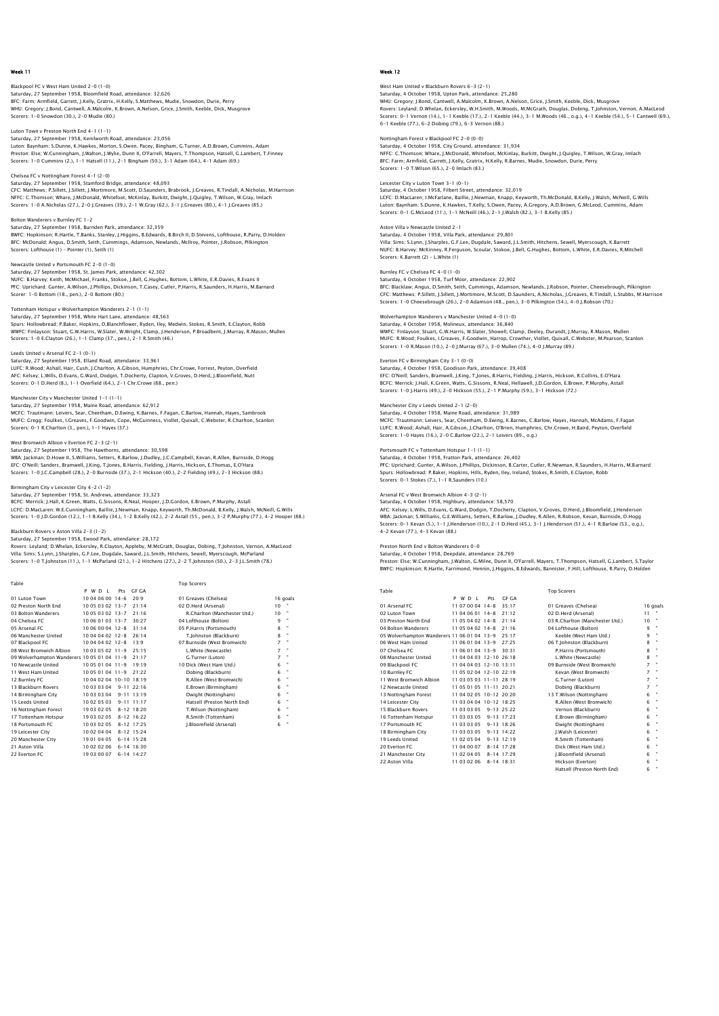## Blackpool FC v West Ham United 2-0 (1-0)

Saturday, 27 September 1958, Bloomfield Road, attendance: 32,626<br>BFC: Farm; Armfield, Garrett, J.Kelly, Gratrix, H.Kelly, S.Matthews, Mudie, Snowdon, Durie, Perry<br>WHU: Gregory: J.Bond, Cantwell, A.Malcolm, K.Brown, A.Nelso Scorers: 1-0 Snowdon (30.), 2-0 Mudie (80.)

Luton Town v Preston North End 4-1 (1-1)

Saturday, 27 September 1958, Kenilworth Road, attendance: 23,056 Luton: Baynham; S.Dunne, K.Hawkes, Morton, S.Owen, Pacey, Bingham, G.Turner, A.D.Brown, Cummins, Adam Preston: Else; W.Cunningham, J.Walton, J.Wylie, Dunn II, O'Farrell, Mayers, T.Thompson, Hatsell, G.Lambert, T.Finney<br>Scorers: 1–0 Cummins (2.), 1–1 Hatsell (11.), 2–1 Bingham (50.), 3–1 Adam (64.), 4–1 Adam (69.)

# Chelsea FC v Nottingham Forest 4-1 (2-0)

Saturday, 27 September 1958, Stamford Bridge, attendance: 48,093 CFC: Matthews; P.Sillett, J.Sillett, J.Mortimore, M.Scott, D.Saunders, Brabrook, J.Greaves, R.Tindall, A.Nicholas, M.Harrison NFFC: C.Thomson; Whare, J.McDonald, Whitefoot, McKinlay, Burkitt, Dwight, J.Quigley, T.Wilson, W.Gray, Imlach Scorers: 1-0 A.Nicholas (27.), 2-0 J.Greaves (39.), 2-1 W.Gray (62.), 3-1 J.Greaves (80.), 4-1 J.Greaves (85.)

# Bolton Wanderers v Burnley FC 1-2

Saturday, 27 September 1958, Burnden Park, attendance: 32,359 BWFC: Hopkinson; R.Hartle, T.Banks, Stanley, J.Higgins, B.Edwards, B.Birch II, D.Stevens, Lofthouse, R.Parry, D.Holden<br>BFC: McDonald; Angus, D.Smith, Seith, Cummings, Adamson, Newlands, McIlroy, Pointer, J.Robson, Pilkingt Scorers: Lofthouse (1) – Pointer (1), Seith (1)

Newcastle United v Portsmouth FC 2-0 (1-0) Saturday, 27 September 1958, St. James Park, attendance: 42,302 NUFC: B.Harvey; Keith, McMichael, Franks, Stokoe, J.Bell, G.Hughes, Bottom, L.White, E.R.Davies, R.Evans II PFC: Uprichard; Gunter, A.Wilson, J.Phillips, Dickinson, T.Casey, Cutler, P.Harris, R.Saunders, H.Harris, M.Barnard Scorer: 1-0 Bottom (18., pen.), 2-0 Bottom (80.)

### Tottenham Hotspur v Wolverhampton Wanderers 2-1 (1-1)

Saturday, 27 September 1958, White Hart Lane, attendance: 48,563 Spurs: Hollowbread; P.Baker, Hopkins, D.Blanchflower, Ryden, Iley, Medwin, Stokes, R.Smith, E.Clayton, Robb WWFC: Finlayson; Stuart, G.W.Harris, W.Slater, W.Wright, Clamp, J.Henderson, P.Broadbent, J.Murray, R.Mason, Mullen Scorers: 1-0 E.Clayton (26.), 1-1 Clamp (37., pen.), 2-1 R.Smith (46.)

## Leeds United v Arsenal FC 2-1 (0-1)

Saturday, 27 September 1958, Elland Road, attendance: 33,961<br>LUFC: R.Wood; Ashall, Hair, Cush, J.Charlton, A.Gibson, Humphries, Chr.Crowe, Forrest, Peyton, Overfield<br>AFC: Kelsey; L.Wills, D.Evans, G.Ward, Dodgin, T.Dochert

## Manchester City v Manchester United 1-1 (1-1)

Saturday, 27 September 1958, Maine Road, attendance: 62,912 MCFC: Trautmann; Leivers, Sear, Cheetham, D.Ewing, K.Barnes, F.Fagan, C.Barlow, Hannah, Hayes, Sambrook MUFC: Gregg; Foulkes, I.Greaves, F.Goodwin, Cope, McGuinness, Viollet, Quixall, C.Webster, R.Charlton, Scanlon Scorers: 0-1 R.Charlton (3., pen.), 1-1 Hayes (37.)

# West Bromwich Albion v Everton FC 2-3 (2-1)

Saturday, 27 September 1958, The Hawthorns, attendance: 30,598<br>WBA: Jackman; D.Howe II, S.Williams, Setters, R.Barlow, J.Dudley, J.C.Campbell, Kevan, R.Allen, Burnside, D.Hogg<br>EFC: O'Nell; Sanders, Bramwell, J.King, T.Jone

### Birmingham City v Leicester City 4-2 (1-2)

Saturday, 27 September 1958, St. Andrews, attendance: 33,323<br>BCFC: Merrick: J.Hail, K.Green, Watts, G.Sissons, R.Neal, Hooper, J.D.Gordon, E.Brown, P.Murphy, Astall<br>LCFC: D.MacLaren; W.E.Cunningham, Baillie, J.Newman, Knap

## Blackburn Rovers v Aston Villa 2-3 (1-2)

Saturday, 27 September 1958, Ewood Park, attendance: 28,172 Rovers: Leyland; D.Whelan, Eckersley, R.Clayton, Appleby, M.McGrath, Douglas, Dobing, T.Johnston, Vernon, A.MacLeod Villa: Sims; S.Lynn, J.Sharples, G.F.Lee, Dugdale, Saward, J.L.Smith, Hitchens, Sewell, Myerscough, McParland Scorers: 1-0 T.Johnston (11.), 1-1 McParland (21.), 1-2 Hitchens (27.), 2-2 T.Johnston (50.), 2-3 J.L.Smith (78.)

 Table Top Scorers P W D L Pts GF GA 01 Luton Town 10 04 06 00 14-6 20:9 01 Greaves (Chelsea) 16 goals 02 Preston North End 10 05 03 02 13-7 21:14 02 D.Herd (Arsenal) 10 " 03 Bolton Wanderers 10 05 03 02 13-7 21:16 R.Charlton (Manchester Utd.) 10 " 04 Chelsea FC 10 06 01 03 13-7 30:27 04 Lofthouse (Bolton) 9 " 05 Arsenal FC 10 06 00 04 12 - 8 31:14 05 P. Harris (Portsmouth) 8<br>
06 Manchester United 10 04 04 02 12 - 8 26:14 10 Manchester United 10 04 04 02 12 - 8 13:9<br>
07 Burnside (West Bromwich) 7<br>
08 West Bromwich Albion 10 03 0 11 West Ham United 100 05 01 04 11-9 21:22 Dobing (Blackburn) 6 06<br>12 Burnley FC 100 05 03 04 10-10 18:19 18 AAllen (West Bromwich) 6<br>13 Blackburn Rovers 10 03 03 04 9-11 22:16 18 E.Brown (Birmingham) 6 1<br>14 Birmingham Cit 16 Nottingham Forest (\* 1903 / 2008 – 12 B. 2018 – 17 Michart (\* 1908 – 17 Michart (\* 1808)<br>17 Tottenham Hotspur (\* 1903 02 05 8–12 16:22 – R. Smith (Tottenham) – 6 (\* 18 Portsmouth FC – 10 03 02 05 8–1<br>19 Jeliester City 21 Aston Villa 10 02 02 06 6-14 16:30 22 Everton FC 19 03 00 07 6-14 14:27

## Week 12

West Ham United v Blackburn Rovers 6-3 (2-1) Saturday, 4 October 1958, Upton Park, attendance: 25,280<br>WHU: Gregory, J.Bond, Cantwell, A.Malcolm, K.Brown, A.Nelson, Grice, J.Smith, Keeble, Dick, Musgrove<br>Rovers: Leyland: D.Whelan, Eckersley, W.H.Smith, M.Woods, M.McGr Scorers: 0-1 Vernon (14.), 1-1 Keeble (17.), 2-1 Keeble (44.), 3-1 M.Woods (46., o.g.), 4-1 Keeble (54.), 5-1 Cantwell (69.), 6-1 Keeble (77.), 6-2 Dobing (79.), 6-3 Vernon (88.)

Nottingham Forest v Blackpool FC 2-0 (0-0) Saturday, 4 October 1958, City Ground, attendance: 31,934 NFFC: C.Thomson; Whare, J.McDonald, Whitefoot, McKinlay, Burkitt, Dwight, J.Quigley, T.Wilson, W.Gray, Imlach BFC: Farm; Armfield, Garrett, J.Kelly, Gratrix, H.Kelly, R.Barnes, Mudie, Snowdon, Durie, Perry Scorers: 1-0 T.Wilson (65.), 2-0 Imlach (83.)

# Leicester City v Luton Town 3-1 (0-1) Saturday, 4 October 1958, Filbert Street, attendance: 32,019 LCFC: D.MacLaren; I.McFarlane, Baillie, J.Newman, Knapp, Keyworth, Th.McDonald, B.Kelly, J.Walsh, McNeill, G.Wills<br>Luton: Baynham; S.Dunne, K.Hawkes, T.Kelly, S.Owen, Pacey, A.Cregory, A.D.Brown, G.McLeod, Cummins, Adam<br>Sc

Aston Villa v Newcastle United 2-1 Saturday, 4 October 1958, Villa Park, attendance: 29,801 Villa: Sims; S.Lynn, J.Sharples, G.F.Lee, Dugdale, Saward, J.L.Smith, Hitchens, Sewell, Myerscough, K.Barrett<br>NUFC: B.Harvey; McKinney, R.Ferguson, Scoular, Stokoe, J.Bell, G.Hughes, Bottom, L.White, E.R.Davies, R.Mitchel<br>

# Burnley FC v Chelsea FC 4-0 (1-0)

Saturday, 4 October 1958, Turf Moor, attendance: 22,902<br>BFC: Blacklaw; Angus, D.Smith, Seith, Cummings, Adamson, Newlands, J.Robson, Pointer, Cheesebrough, Pilkington<br>CFC: Matthews; P.Sillett, J.Sillett, J.Mortimore, M.Sco

#### Wolverhampton Wanderers v Manchester United 4-0 (1-0) Saturday, 4 October 1958, Molineux, attendance: 36,840

WWFC: Finlayson; Stuart, G.W.Harris, W.Slater, Showell, Clamp, Deeley, Durandt, J.Murray, R.Mason, Mullen<br>MUFC: R.Wood; Foulkes, I.Greaves, F.Goodwin, Harrop, Crowther, Viollet, Quixall, C.Webster, M.Pearson, Scanlor<br>Score

# Everton FC v Birmingham City 3-1 (0-0)<br>Saturday, 4 October 1958, Coodicen Bark, attendance: 39,498

Saturday, 4 October 1958, Goodison Park, attendance: 39,408<br>EFC: O'Neill; Sanders, Bramwell, J.King, T.Jones, B.Harris, Fielding, J.Harris, Hickson, R.Collins, E.O'Hara<br>BCFC: Merrick; J.Hall, K.Green, Watts, G.Sissons, R.N

## Manchester City v Leeds United 2-1 (2-0)

Saturday, 4 October 1958, Maine Road, attendance: 31,989<br>MCFC: Trautmann; Leivers, Sear, Cheetham, D.Ewing, K.Barnes, C.Barlow, Hayes, Hannah, McAdams, F.Fagar<br>LUFC: R.Wood; Ashall, Hair, A.Gibson, J.Charlton, O'Brien, Hum Scorers: 1-0 Hayes (16.), 2-0 C.Barlow (22.), 2-1 Leivers (89., o.g.)

Portsmouth FC v Tottenham Hotspur 1–1 (1–1)<br>Saturday, 4 October 1958, Fratton Park, attendance: 26,402<br>PFC: Uprichard; Gunter, A.Wilson, J.Phillips, Dickinson, B.Carter, Cutler, R.Newman, R.Saunders, H.Harris, M.Barnard<br>Sp Scorers: 0-1 Stokes (7.), 1-1 R.Saunders (10.)

# Arsenal FC v West Bromwich Albion 4-3 (2-1) Saturday, 4 October 1958, Highbury, attendance: 58,570

AFC: Kelsey; L.Wills, D.Evans, G.Ward, Dodgin, T.Docherty, Clapton, V.Groves, D.Herd, J.Bloomfield, J.Henderson WBA: Jackman; S. Williams, G. E. Williams, Setters, R. Barlow, J. Dudley, R. Allen, R. Robson, Kevan, Burnside, D. Hogg Scorers: 0-1 Kevan (5.), 1-1 J.Henderson (10.), 2-1 D.Herd (45.), 3-1 J.Henderson (51.), 4-1 R.Barlow (53., o.g.), 4-2 Kevan (77.), 4-3 Kevan (88.)

#### Preston North End v Bolton Wanderers 0-0 Saturday, 4 October 1958, Deepdale, attendance: 28,769

Preston: Else; W.Cunningham, J.Walton, G.Milne, Dunn II, O'Farrell, Mayers, T.Thompson, Hatsell, G.Lambert, S.Tayloı<br>BWFC: Hopkinson; R.Hartle, Farrimond, Hennin, J.Higgins, B.Edwards, Bannister, F.Hill, Lofthouse, R.Parry

| Table                                       |                  |                         |                | <b>Top Scorers</b>              |                |          |
|---------------------------------------------|------------------|-------------------------|----------------|---------------------------------|----------------|----------|
|                                             | P W D I          | P <sub>ts</sub>         | GE GA          |                                 |                |          |
| 01 Arsenal FC                               | 11 07 00 04 14-8 |                         | 35:17          | 01 Greaves (Chelsea)            |                | 16 goals |
| 02 Luton Town                               | 11 04 06 01 14-8 |                         | 21:12          | 02 D.Herd (Arsenal)<br>11       |                |          |
| 03 Preston North End                        | 11 05 04 02 14-8 |                         | 21:14          | 03 R.Charlton (Manchester Utd.) | 10             |          |
| 04 Bolton Wanderers                         | 11 05 04 02 14-8 |                         | 21:16          | 04 Lofthouse (Bolton)           | 9              |          |
| 05 Wolverhampton Wanderers 11 06 01 04 13-9 |                  |                         | 25:17          | Keeble (West Ham Utd.)          | 9              |          |
| 06 West Ham United                          | 11 06 01 04 13-9 |                         | 27.25          | 06 T.Johnston (Blackburn)       | 8              |          |
| 07 Chelsea EC                               |                  | 11 06 01 04 13-9        | 30:31          | P.Harris (Portsmouth)           | 8              |          |
| 08 Manchester United                        |                  | 11 04 04 03 12-10 26:18 |                | L.White (Newcastle)             | 8              | ٠        |
| 09 Blackpool FC                             |                  | 11 04 04 03 12-10 13:11 |                | 09 Burnside (West Bromwich)     | $\overline{z}$ |          |
| 10 Burnley FC                               |                  | 11 05 02 04 12-10 22:19 |                | Kevan (West Bromwich)           | 7              | ٠        |
| 11 West Bromwich Albion                     |                  | 11 03 05 03 11-11 28:19 |                | G.Turner (Luton)                | 7              |          |
| 12 Newcastle United                         |                  | 11 05 01 05 11-11 20:21 |                | Dobing (Blackburn)              | 7              |          |
| 13 Nottingham Forest                        |                  | 11 04 02 05 10-12 20:20 |                | 13 T.Wilson (Nottingham)        | 6              |          |
| 14 Leicester City                           |                  | 11 03 04 04 10-12 18:25 |                | R.Allen (West Bromwich)         | 6              | ٠        |
| 15 Blackburn Rovers                         | 11 03 03 05      |                         | $9 - 13$ 25:22 | Vernon (Blackburn)              | 6              |          |
| 16 Tottenham Hotspur                        | 11 03 03 05      |                         | $9 - 13$ 17:23 | E.Brown (Birmingham)            | 6              | ٠        |
| 17 Portsmouth EC                            | 11 03 03 05      |                         | $9 - 13$ 18:26 | Dwight (Nottingham)             | 6              |          |
| 18 Birmingham City                          | 11 03 03 05      |                         | $9 - 13$ 14:22 | J.Walsh (Leicester)             | 6              |          |
| 19 Leeds United                             | 11 02 05 04      |                         | $9 - 13$ 12:19 | R.Smith (Tottenham)             | 6              |          |
| 20 Everton EC                               | 11 04 00 07      |                         | $8 - 14$ 17:28 | Dick (West Ham Utd.)            | 6              | ۰        |
| 21 Manchester City                          | 11 02 04 05      |                         | $8 - 14$ 17.29 | I.Bloomfield (Arsenal)          | 6              |          |
| 22 Aston Villa                              | 11 03 02 06      |                         | $8 - 14$ 18:31 | Hickson (Everton)               | 6              |          |
|                                             |                  |                         |                | Hatsell (Preston North End)     | 6              |          |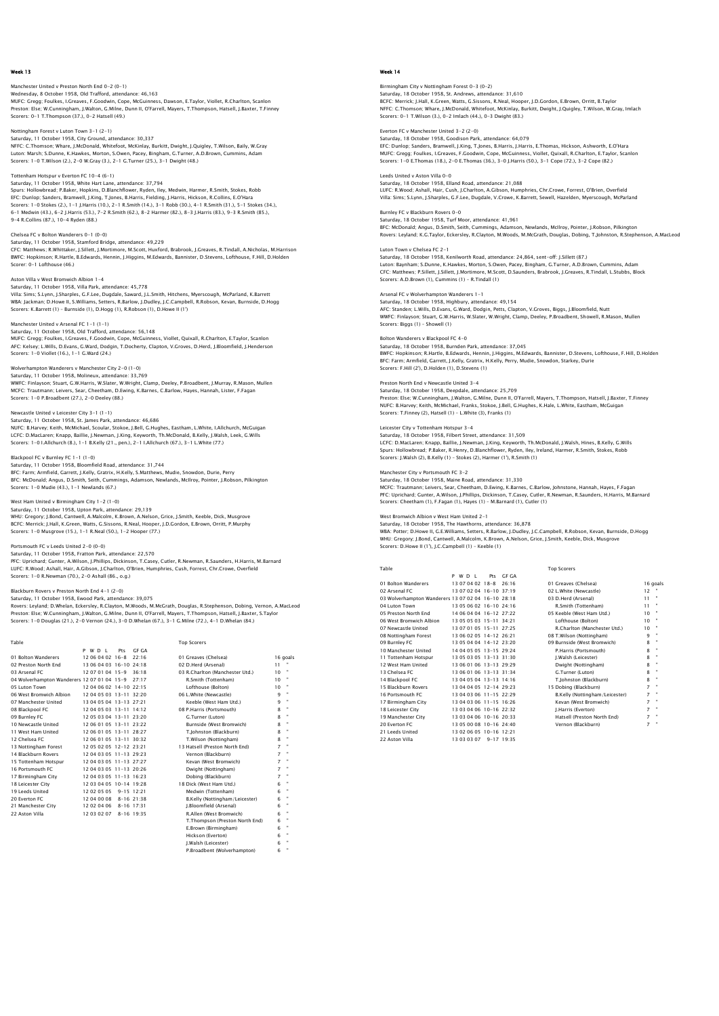Manchester United v Preston North End 0-2 (0-1) Wednesday, 8 October 1958, Old Trafford, attendance: 46,163<br>MUFC: Gregg; Foulkes, I.Greaves, F.Goodwin, Cope, McGuinness, Dawson, E.Taylor, Viollet, R.Charlton, Scanlon<br>Preston: Else; W.Cunningham, J.Walton, G.Milne, Dunn Scorers: 0-1 T.Thompson (37.), 0-2 Hatsell (49.)

Nottingham Forest v Luton Town 3-1 (2-1) Saturday, 11 October 1958, City Ground, attendance: 30,337 NFFC: C.Thomson; Whare, J.McDonald, Whitefoot, McKinlay, Burkitt, Dwight, J.Quigley, T.Wilson, Baily, W.Gray Luton: Marsh; S.Dunne, K.Hawkes, Morton, S.Owen, Pacey, Bingham, G.Turner, A.D.Brown, Cummins, Adam

Scorers: 1-0 T.Wilson (2.), 2-0 W.Gray (3.), 2-1 G.Turner (25.), 3-1 Dwight (48.)

Tottenham Hotspur v Everton FC 10–4 (6–1)<br>Saturday, 11 October 1958, White Hart Lane, attendance: 37,794<br>Spurs: Hollowbread; P.Baker, Hopkins, D.Blanchflower, Ryden, Iley, Medwin, Harmer, R.Smith, Stokes, Robb EFC: Dunlop; Sanders, Bramwell, J.King, T.Jones, B.Harris, Fielding, J.Harris, Hickson, R.Collins, E.O'Hara<br>Scorers: 1–0 Stokes (2.), 1–1 J.Harris (10.), 2–1 R.Smith (14.), 3–1 Robb (30.), 4–1 R.Smith (31.), 5–1 Stokes (34

Chelsea FC v Bolton Wanderers 0-1 (0-0) Saturday, 11 October 1958, Stamford Bridge, attendance: 49,229 CFC: Matthews; R.Whittaker, J.Sillett, J.Mortimore, M.Scott, Huxford, Brabrook, J.Greaves, R.Tindall, A.Nicholas, M.Harrison<br>BWFC: Hopkinson; R.Hartle, B.Edwards, Hennin, J.Hiqqins, M.Edwards, Bannister, D.Stevens, Lofthou Scorer: 0-1 Lofthouse (46.)

#### Aston Villa v West Bromwich Albion 1-4

Saturday, 11 October 1958, Villa Park, attendance: 45,778 Villa: Sims; S.Lynn, J.Sharples, G.F.Lee, Dugdale, Saward, J.L.Smith, Hitchens, Myerscough, McParland, K.Barrett<br>WBA: Jackman; D.Howe II, S.Williams, Setters, R.Barlow, J.Dudley, J.C.Campbell, R.Robson, Kevan, Burnside, D.

#### Manchester United v Arsenal FC 1-1 (1-1)

Saturday, 11 October 1958, Old Trafford, attendance: 56,148<br>MUFC: Gregg; Foulkes, I.Greaves, F.Goodwin, Cope, McGuinness, Viollet, Quixall, R.Charlton, E.Taylor, Scanlon<br>AFC: Kelsey: L.Wills, D.Evans, G.Ward, Dodgin, T.Doc Scorers: 1-0 Viollet (16.), 1-1 G.Ward (24.)

## Wolverhampton Wanderers v Manchester City 2-0 (1-0)

Saturday, 11 October 1958, Molineux, attendance: 33,769 WWFC: Finlayson; Stuart, G.W.Harris, W.Slater, W.Wright, Clamp, Deeley, P.Broadbent, J.Murray, R.Mason, Mullen MCFC: Trautmann; Leivers, Sear, Cheetham, D.Ewing, K.Barnes, C.Barlow, Hayes, Hannah, Lister, F.Fagan Scorers: 1-0 P.Broadbent (27.), 2-0 Deeley (88.)

### ewcastle United v Leicester City 3-1 (1-1)

Saturday, 11 October 1958, St. James Park, attendance: 46,686 NUFC: B.Harvey; Keith, McMichael, Scoular, Stokoe, J.Bell, G.Hughes, Eastham, L.White, I.Allchurch, McGuigan LCFC: D.MacLaren; Knapp, Baillie, J.Newman, J.King, Keyworth, Th.McDonald, B.Kelly, J.Walsh, Leek, G.Wills<br>Scorers: 1–0 I.Allchurch (8.), 1–1 B.Kelly (21., pen.), 2–1 I.Allchurch (67.), 3–1 L.White (77.)

#### Blackpool FC v Burnley FC 1-1 (1-0)

Saturday, 11 October 1958, Bloomfield Road, attendance: 31,744 BFC: Farm; Armfield, Garrett, J.Kelly, Gratrix, H.Kelly, S.Matthews, Mudie, Snowdon, Durie, Perry BFC: McDonald; Angus, D.Smith, Seith, Cummings, Adamson, Newlands, McIlroy, Pointer, J.Robson, Pilkington Scorers: 1-0 Mudie (43.), 1-1 Newlands (67.)

## West Ham United v Birmingham City 1-2 (1-0)

Saturday, 11 October 1958, Upton Park, attendance: 29,139<br>WHII: Cregory: I Bond, Cantwell, A Malcolm, K Brown, A Nelson, Crice, I Smith, Keeble, Dick, Musercye WHU: Gregory; J.Bond, Cantwell, A.Malcolm, K.Brown, A.Nelson, Grice, J.Smith, Keeble, Dick, Musgrove<br>BCFC: Merrick; J.Hall, K.Green, Watts, G.Sissons, R.Neal, Hooper, J.D.Gordon, E.Brown, Orritt, P.Murphy<br>Scorers: 1–0 Musq

#### Portsmouth FC v Leeds United 2-0 (0-0)

Saturday, 11 October 1958, Fratton Park, attendance: 22,570 PFC: Uprichard; Gunter, A.Wilson, J.Phillips, Dickinson, T.Casey, Cutler, R.Newman, R.Saunders, H.Harris, M.Barnard<br>LUFC: R.Wood; Ashall, Hair, A.Gibson, J.Charlton, O'Brien, Humphries, Cush, Forrest, Chr.Crowe, Overfield<br>

### Blackburn Rovers v Preston North End 4-1 (2-0)

Saturday, 11 October 1958, Ewood Park, attendance: 39,075<br>Rovers: Leyland, D.Whelan, Eckersley, R.Clayton, M.Woods, M.McGrath, Douglas, R.Stephenson, Dobing, Vernon, A.MacLeod<br>Preston: Else; W.Cunningham, J.Walton, G.Mline

| Table                                       |                         |     |                | <b>Top Scorers</b>              |    |          |
|---------------------------------------------|-------------------------|-----|----------------|---------------------------------|----|----------|
|                                             | P W D I                 | Pts | GE GA          |                                 |    |          |
| 01 Bolton Wanderers                         | 12 06 04 02 16-8        |     | 22.16          | 01 Greaves (Chelsea)            |    | 16 goals |
| 02 Preston North End                        | 13 06 04 03 16-10 24:18 |     |                | 02 D.Herd (Arsenal)             | 11 |          |
| 03 Arsenal FC                               | 12 07 01 04 15-9 36:18  |     |                | 03 R.Charlton (Manchester Utd.) | 10 |          |
| 04 Wolverhampton Wanderers 12 07 01 04 15-9 |                         |     | 27.17          | R.Smith (Tottenham)             | 10 |          |
| 05 Luton Town                               | 12 04 06 02 14-10 22:15 |     |                | Lofthouse (Bolton)              | 10 |          |
| 06 West Bromwich Albion                     | 12 04 05 03 13-11 32:20 |     |                | 06 L.White (Newcastle)          | 9  |          |
| 07 Manchester United                        | 13 04 05 04 13-13 27:21 |     |                | Keeble (West Ham Utd.)          | 9  |          |
| 08 Blackpool FC                             | 12 04 05 03 13-11 14:12 |     |                | 08 P.Harris (Portsmouth)        | 8  |          |
| 09 Burnley FC                               | 12 05 03 04 13-11 23:20 |     |                | G.Turner (Luton)                | 8  |          |
| 10 Newcastle United                         | 12 06 01 05 13-11 23:22 |     |                | Burnside (West Bromwich)        | 8  |          |
| 11 West Ham United                          | 12 06 01 05 13-11 28:27 |     |                | T.Johnston (Blackburn)          | 8  | ٠        |
| 12 Chelsea EC                               | 12 06 01 05 13-11 30:32 |     |                | T.Wilson (Nottingham)           | 8  | ٠        |
| 13 Nottingham Forest                        | 12 05 02 05 12-12 23:21 |     |                | 13 Hatsell (Preston North End)  | 7  | ×        |
| 14 Blackburn Rovers                         | 12 04 03 05 11-13 29:23 |     |                | Vernon (Blackburn)              | 7  | ×        |
| 15 Tottenham Hotspur                        | 12 04 03 05 11-13 27:27 |     |                | Kevan (West Bromwich)           | 7  | ×        |
| 16 Portsmouth FC                            | 12 04 03 05 11-13 20:26 |     |                | Dwight (Nottingham)             | 7  |          |
| 17 Birmingham City                          | 12 04 03 05 11-13 16:23 |     |                | Dobing (Blackburn)              | 7  |          |
| 18 Leicester City                           | 12 03 04 05 10-14 19:28 |     |                | 18 Dick (West Ham Utd.)         | 6  |          |
| 19 Leeds United                             | 12 02 05 05 9-15 12:21  |     |                | Medwin (Tottenham)              | 6  | ٠        |
| 20 Everton EC                               | 12 04 00 08             |     | $8 - 16$ 21:38 | B.Kelly (Nottingham/Leicester)  | 6  |          |
| 21 Manchester City                          | 12 02 04 06             |     | $8 - 16$ 17 31 | J.Bloomfield (Arsenal)          | 6  |          |
| 22 Aston Villa                              | 12 03 02 07             |     | $8 - 16$ 19:35 | R.Allen (West Bromwich)         | 6  |          |
|                                             |                         |     |                | T.Thompson (Preston North End)  | 6  |          |
|                                             |                         |     |                | E.Brown (Birmingham)            | 6  |          |
|                                             |                         |     |                | Hickson (Everton)               | 6  |          |
|                                             |                         |     |                | I.Walsh (Leicester)             | 6  |          |
|                                             |                         |     |                | P.Broadbent (Wolverhampton)     | 6  |          |

### Week 14

Birmingham City v Nottingham Forest 0-3 (0-2) Saturday, 18 October 1958, St. Andrews, attendance: 31,610<br>BCFC: Merrick; J.Hall, K.Green, Watts, G.Sissons, R.Neal, Hooper, J.D.Gordon, E.Brown, Orritt, B.Taylor<br>NFFC: C.Thomson; Whare, J.McDonald, Whitefoot, McKinlay, Bu Scorers: 0-1 T.Wilson (3.), 0-2 Imlach (44.), 0-3 Dwight (83.)

Everton FC v Manchester United 3-2 (2-0) Saturday, 18 October 1958, Goodison Park, attendance: 64,079 EFC: Dunlop; Sanders, Bramwell, J.King, T.Jones, B.Harris, J.Harris, E.Thomas, Hickson, Ashworth, E.O'Hara MUFC: Gregg; Foulkes, I.Greaves, F.Goodwin, Cope, McGuinness, Viollet, Quixall, R.Charlton, E.Taylor, Scanlon Scorers: 1-0 E.Thomas (18.), 2-0 E.Thomas (36.), 3-0 J.Harris (50.), 3-1 Cope (72.), 3-2 Cope (82.)

Leeds United v Aston Villa 0-0 s onited v Aston vina o-o<br>rday, 18 October 1958, Elland Road, attendance: 21,088 LUFC: R.Wood; Ashall, Hair, Cush, J.Charlton, A.Gibson, Humphries, Chr.Crowe, Forrest, O'Brien, Overfield Villa: Sims; S.Lynn, J.Sharples, G.F.Lee, Dugdale, V.Crowe, K.Barrett, Sewell, Hazelden, Myerscough, McParland

Burnley FC v Blackburn Rovers 0-0 Saturday, 18 October 1958, Turf Moor, attendance: 41,961 BFC: McDonald; Angus, D.Smith, Seith, Cummings, Adamson, Newlands, McIlroy, Pointer, J.Robson, Pilkington<br>Rovers: Leyland; K.G.Taylor, Eckersley, R.Clayton, M.Woods, M.McGrath, Douglas, Dobing, T.Johnston, R.Stephenson, A.

Luton Town v Chelsea FC 2-1 Saturday, 18 October 1958, Kenilworth Road, attendance: 24,864, sent-off: J.Sillett (87.) Luton: Baynham; S.Dunne, K.Hawkes, Morton, S.Owen, Pacey, Bingham, G.Turner, A.D.Brown, Cummins, Adam<br>CFC: Matthews; P.Sillett, J.Sillett, J.Mortimore, M.Scott, D.Saunders, Brabrook, J.Greaves, R.Tindall, L.Stubbs, Block Scorers: A.D.Brown (1), Cummins (1) – R.Tindall (1)

# Arsenal FC v Wolverhampton Wanderers 1-1

Saturday, 18 October 1958, Highbury, attendance: 49,154 AFC: Standen; L.Wills, D.Evans, G.Ward, Dodgin, Petts, Clapton, V.Groves, Biggs, J.Bloomfield, Nutt WWFC: Finlayson; Stuart, G.W.Harris, W.Slater, W.Wright, Clamp, Deeley, P.Broadbent, Showell, R.Mason, Mullen Scorers: Biggs (1) – Showell (1)

## Bolton Wanderers v Blackpool FC 4-0

Saturday, 18 October 1958, Burnden Park, attendance: 37,045 BWFC: Hopkinson; R.Hartle, B.Edwards, Hennin, J.Higgins, M.Edwards, Bannister, D.Stevens, Lofthouse, F.Hill, D.Holden BFC: Farm; Armfield, Garrett, J.Kelly, Gratrix, H.Kelly, Perry, Mudie, Snowdon, Starkey, Durie Scorers: F.Hill (2'), D.Holden (1), D.Stevens (1)

#### Preston North End v Newcastle United 3-4

Saturday, 18 October 1958, Deepdale, attendance: 25,709 Preston: Else; W.Cunningham, J.Walton, G.Milne, Dunn II, O'Farrell, Mayers, T.Thompson, Hatsell, J.Baxter, T.Finney NUFC: B.Harvey; Keith, McMichael, Franks, Stokoe, J.Bell, G.Hughes, K.Hale, L.White, Eastham, McGuigan Scorers: T.Finney (2), Hatsell (1) – L.White (3), Franks (1)

## Leicester City v Tottenham Hotspur 3-4

Saturday, 18 October 1958, Filbert Street, attendance: 31,509<br>LCFC: D.MacLaren; Knapp, Baillie, J.Newman, J.King, Keyworth, Th.McDonald, J.Walsh, Hines, B.Kelly, G.Wills<br>Spurs: Hollowbread ; P.Baker, R.Henry, D.Blanchflowe

#### Manchester City v Portsmouth FC 3-2

Saturday, 18 October 1958, Maine Road, attendance: 31,330 MCFC: Trautmann; Leivers, Sear, Cheetham, D.Ewing, K.Barnes, C.Barlow, Johnstone, Hannah, Hayes, F.Fagan<br>PFC: Uprichard; Gunter, A.Wilson, J.Phillips, Dickinson, T.Casey, Cutler, R.Newman, R.Saunders, H.Harris, M.Barnard<br>S

#### West Bromwich Albion v West Ham United 2-1

Saturday, 18 October 1958, The Hawthorns, attendance: 36,878<br>WBA: Potter; D.Howe II, G.E.Williams, Setters, R.Barlow, J.Dudley, J.C.Campbell, R.Robson, Kevan, Burnside, D.Hogg<br>WHU: Gregory; J.Bond, Cantwell, A.Malcolm, K.B

| Table                                              |         |                         |       | Top Scorers                    |    |          |
|----------------------------------------------------|---------|-------------------------|-------|--------------------------------|----|----------|
|                                                    | P W D I | Pts                     | GE GA |                                |    |          |
| 01 Bolton Wanderers                                |         | 13 07 04 02 18-8        | 26:16 | 01 Greaves (Chelsea)           |    | 16 goals |
| 02 Arsenal FC                                      |         | 13 07 02 04 16-10 37:19 |       | 02 L.White (Newcastle)         | 12 |          |
| 03 Wolverhampton Wanderers 13 07 02 04 16-10 28:18 |         |                         |       | 03 D.Herd (Arsenal)            | 11 |          |
| 04 Luton Town                                      |         | 13 05 06 02 16-10 24:16 |       | R.Smith (Tottenham)            | 11 |          |
| 05 Preston North End                               |         | 14 06 04 04 16-12 27:22 |       | 05 Keeble (West Ham Utd.)      | 10 |          |
| 06 West Bromwich Albion                            |         | 13 05 05 03 15-11 34:21 |       | Lofthouse (Bolton)             | 10 | ٠        |
| 07 Newcastle United                                |         | 13 07 01 05 15-11 27:25 |       | R.Charlton (Manchester Utd.)   | 10 |          |
| 08 Nottingham Forest                               |         | 13 06 02 05 14-12 26:21 |       | 08 T.Wilson (Nottingham)       | 9  |          |
| 09 Burnley FC                                      |         | 13 05 04 04 14-12 23:20 |       | 09 Burnside (West Bromwich)    | 8  |          |
| 10 Manchester United                               |         | 14 04 05 05 13-15 29:24 |       | P.Harris (Portsmouth)          | 8  |          |
| 11 Tottenham Hotspur                               |         | 13 05 03 05 13-13 31:30 |       | I.Walsh (Leicester)            | 8  | ۰        |
| 12 West Ham United                                 |         | 13 06 01 06 13-13 29:29 |       | Dwight (Nottingham)            | 8  | ۰        |
| 13 Chelsea EC                                      |         | 13.06.01.06 13-13 31:34 |       | G.Turner (Luton)               | 8  |          |
| 14 Blackpool FC                                    |         | 13 04 05 04 13-13 14:16 |       | T.Johnston (Blackburn)         | 8  | ٠        |
| 15 Blackburn Rovers                                |         | 13 04 04 05 12-14 29:23 |       | 15 Dobing (Blackburn)          | 7  | ٠        |
| 16 Portsmouth EC                                   |         | 13 04 03 06 11-15 22:29 |       | B.Kelly (Nottingham/Leicester) | 7  | ٠        |
| 17 Birmingham City                                 |         | 13 04 03 06 11-15 16:26 |       | Kevan (West Bromwich)          | 7  | ٠        |
| 18 Leicester City                                  |         | 13 03 04 06 10-16 22:32 |       | J.Harris (Everton)             | 7  |          |
| 19 Manchester City                                 |         | 13 03 04 06 10-16 20:33 |       | Hatsell (Preston North End)    | 7  | ٠        |
| 20 Everton EC                                      |         | 13 05 00 08 10-16 24:40 |       | Vernon (Blackburn)             | 7  |          |
| 21 Leeds United                                    |         | 13.02.06.05 10-16 12:21 |       |                                |    |          |
| 22 Aston Villa                                     |         | 13.03.03.07 9-17 19:35  |       |                                |    |          |

| 01 Greaves (Chelsea)           | 16 go          |   |
|--------------------------------|----------------|---|
| 02 L.White (Newcastle)         | 12             |   |
| 03 D.Herd (Arsenal)            | 11             | ٠ |
| R.Smith (Tottenham)            | 11             | ł |
| 05 Keeble (West Ham Utd.)      | 10             | ł |
| Lofthouse (Bolton)             | 10             | ٠ |
| R.Charlton (Manchester Utd.)   | 10             | ł |
| 08 T.Wilson (Nottingham)       | ٩              | ł |
| 09 Burnside (West Bromwich)    | 8              | ł |
| P.Harris (Portsmouth)          | 8              | ł |
| J.Walsh (Leicester)            | 8              | ł |
| Dwight (Nottingham)            | 8              | ł |
| G.Turner (Luton)               | 8              | ł |
| T. Johnston (Blackburn)        | 8              | ł |
| 15 Dobing (Blackburn)          | 7              | ł |
| B.Kelly (Nottingham/Leicester) | 7              | ٠ |
| Kevan (West Bromwich)          | 7              | ł |
| I.Harris (Everton)             | $\overline{7}$ | ł |
| Hatsell (Preston North End)    | $\overline{7}$ | ł |
| Vernon (Blackburn)             | 7              | ł |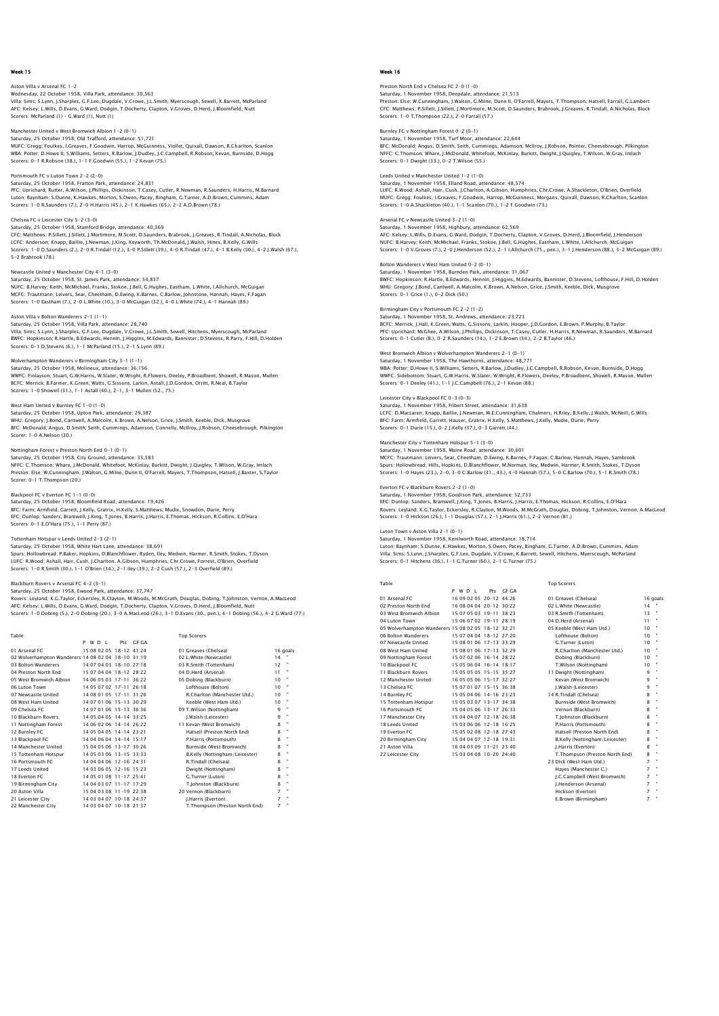Aston Villa v Arsenal FC 1-2 Wednesday, 22 October 1958, Villa Park, attendance: 30,563<br>Villa: Sims; S.Lynn, LSharples, G.F.Lee, Dugdale, V.Crowe, J.L.Smith, Myerscough, Sewell, K.Barrett, McParland<br>AFC: Kelsey: L.Wills, D.Evans, G.Ward, Dodqin, T.Doc Scorers: McParland (1) – G.Ward (1), Nutt (1)

Manchester United v West Bromwich Albion 1-2 (0-1) Saturday, 25 October 1958, Old Trafford, attendance: 51,721 MUFC: Gregg; Foulkes, I.Greaves, F.Goodwin, Harrop, McGuinness, Viollet, Quixall, Dawson, R.Charlton, Scanlon WBA: Potter; D.Howe II, S.Williams, Setters, R.Barlow, J.Dudley, J.C.Campbell, R.Robson, Kevan, Burnside, D.Hogg Scorers: 0-1 R.Robson (38.), 1-1 F.Goodwin (55.), 1-2 Kevan (75.)

Portsmouth FC v Luton Town 2–2 (2–0)<br>Saturday, 25 October 1958, Fratton Park, attendance: 24,831<br>PFC: Uprichard; Rutter, A.Wilson, J.Phillips, Dickinson, T.Casey, Cutler, R.Newman, R.Saunders, H.Harris, M.Barnard Luton: Baynham; S.Dunne, K.Hawkes, Morton, S.Owen, Pacey, Bingham, G.Turner, A.D.Brown, Cummins, Adam Scorers: 1-0 R.Saunders (7.), 2-0 H.Harris (45.), 2-1 K.Hawkes (65.), 2-2 A.D.Brown (78.)

Chelsea FC v Leicester City 5-2 (3-0)

Saturday, 25 October 1958, Stamford Bridge, attendance: 40,369 CFC: Matthews; P.Sillett, J.Sillett, J.Mortimore, M.Scott, D.Saunders, Brabrook, J.Greaves, R.Tindall, A.Nicholas, Block LCFC: Anderson; Knapp, Baillie, J.Newman, J.King, Keyworth, Th.McDonald, J.Walsh, Hines, B.Kelly, G.Wills<br>Scorers: 1–0 D.Saunders (2.), 2–0 R.Tindall (12.), 3–0 P.Sillett (39.), 4–0 R.Tindall (47.), 4–1 B.Kelly (50.), 4–2 5-2 Brabrook (78.)

Newcastle United v Manchester City 4-1 (3-0)

Saturday, 25 October 1958, St. James Park, attendance: 54,837<br>NUFC: B.Harvey; Keith, McMichael, Franks, Stokoe, J.Bell, G.Hughes, Eastham, L.White, I.Allchurch, McGuigan<br>MCFC: Trautmann; Leivers, Sear, Cheetham, D.Ewing, K

#### Aston Villa v Bolton Wanderers 2-1 (1-1) Saturday, 25 October 1958, Villa Park, attendance: 28,740

Villa: Sims; S.Lynn, J.Sharples, G.F.Lee, Dugdale, V.Crowe, J.L.Smith, Sewell, Hitchens, Myerscough, McParland<br>BWFC: Hopkinson; R.Hartle, B.Edwards, Hennin, J.Higgins, M.Edwards, Bannister, D.Stevens, R.Parry, F.Hill, D.Ho

# Wolverhampton Wanderers v Birmingham City 3-1 (1-1)<br>Saturday, 25 October 1058, Molinguy, attendance: 26 156

Saturday, 25 October 1958, Molineux, attendance: 36,156<br>WWFC: Finlayson; Stuart, G.W.Harris, W.Slater, W.Wright, R.Flowers, Deeley, P.Broadbent, Showell, R.Mason, Mullen<br>BCFC: Merrick; B.Farmer, K.Green, Watts, G.Sissons,

### West Ham United v Burnley FC 1-0 (1-0)

Saturday, 25 October 1958, Upton Park, attendance: 29,387<br>WHU: Gregory, J.Bond, Cantwell, A.Malcolm, K.Brown, A.Nelson, Grice, J.Smith, Keeble, Dick, Musgrove<br>BFC: McDonald; Anqus, D.Smith, Seith, Cummings, Adamson, Connel Scorer: 1-0 A.Nelson (30.)

Nottingham Forest v Preston North End 0–1 (0–1)<br>Saturday, 25 October 1958, City Ground, attendance: 33,583<br>NFFC: C.Thomson; Whare, J.McDonald, Whitefoot, McKinlay, Burkitt, Dwight, J.Quigley, T.Wilson, W.Gray, Imlach<br>Prest Scorer: 0-1 T.Thompson (20.)

# Blackpool FC v Everton FC 1-1 (0-0)

Saturday, 25 October 1958, Bloomfield Road, attendance: 19,426 BFC: Farm; Armfield, Garrett, J.Kelly, Gratrix, H.Kelly, S.Matthews, Mudie, Snowdon, Durie, Perry EFC: Dunlop; Sanders, Bramwell, J.King, T.Jones, B.Harris, J.Harris, E.Thomas, Hickson, R.Collins, E.O'Hara Scorers: 0-1 E.O'Hara (75.), 1-1 Perry (87.)

#### totten<br>In Hotspur v Leeds United 2-3 (2-1)

Saturday, 25 October 1958, White Hart Lane, attendance: 38,691 Spurs: Hollowbread; P.Baker, Hopkins, D.Blanchflower, Ryden, Iley, Medwin, Harmer, R.Smith, Stokes, T.Dyson LUFC: R.Wood; Ashall, Hair, Cush, J.Charlton, A.Gibson, Humphries, Chr.Crowe, Forrest, O'Brien, Overfield Scorers: 1-0 R.Smith (30.), 1-1 O'Brien (34.), 2-1 Iley (39.), 2-2 Cush (57.), 2-3 Overfield (89.)

#### Blackburn Rovers v Arsenal FC 4-2 (3-1)

Saturday, 25 October 1958, Ewood Park, attendance: 37,747 Rovers: Leyland; K.G.Taylor, Eckersley, R.Clayton, M.Woods, M.McGrath, Douglas, Dobing, T.Johnston, Vernon, A.MacLeod<br>AFC: Kelsey: L.Wills, D.Evans, G.Ward, Dodgin, T.Docherty, Clapton, V.Groves, D.Herd, J.Bloomfield, Nutt

 Table Top Scorers P W D L Pts GF GA 01 Arsenal FC 15 08 02 05 18-12 41:24 01 Greaves (Chelsea) 16 goals 02 Wolverhampton Wanderers 14 08 02 04 18-10 31:19 02 L.White (Newcastle) 14 " 03 Bolton Wanderers 14 07 04 03 18-10 27:18 03 R.Smith (Tottenham) 12 " 04 Preston North End 15 07 04 04 18-12 28:22 04 D.Herd (Arsenal) 11 " 05 West Bromwich Albion 14 06 05 03 17-11 36:22 05 Dobing (Blackburn) 10 " 06 Luton Town 14 05 07 02 17-11 26:18 Lofthouse (Bolton) 10 " 07 Newcastle United 14 08 01 05 17-11 31:26 R.Charlton (Manchester Utd.) 10 " 08 West Ham United 14 07 01 06 15-13 30:29 Keeble (West Ham Utd.) 10 " 19 Chelsea FC 14 (14 07 01 08 15 - 13 06:35 09 T.Wilston (Nottingham 19 08 19 - 19 08 19 19 19 19 19 19 19 19<br>10 Blackburn Rovers 14 05 04 05 14-14 26:22 11 Kevan (West Bromwich) 8<br>11 Nottingham Forest 14 06 02 06 14-14 25 14 Manchester United 15 04 05 06 13-17 30:26<br>14 Manchester United 15 04 05 06 13-17 30:26<br>15 Tottenham Hotspur<br>14 05 03 06 13-15 33:33<br>16 Eelty (Wottingham/Leice<br>16 Portsmouth FC 14 04 06 12-16 24:31<br>17 25:41<br>18 Everton FC 15 Tottenham Hotspur 14 05 03 06 13-15 33:33 B.Kelly (Nottingham/Leicester) 8 " 16 Portsmouth FC 14 04 04 06 12-16 24:31 R.Tindall (Chelsea) 8 " 17 Leeds United 14 03 06 05 12-16 15:23 Dwight (Nottingham) 8 " 18 Everton FC 14 05 01 08 11-17 25:41 G.Turner (Luton) 8 " 19 Birmingham City 14 04 03 07 11-17 17:29 11 Unitston (Blackburn) 8 (19 11-19 17:29 17:09 17:19 17:19 17:19 1 20 Aston Villa 15 04 03 08 11-19 22:38<br>20 Leicester City 15 04 03 04 07 10-18 24:37<br>22 Manchester City 14 03 04 07 10-18 21:37 21 Leicester City 14 03 04 07 10-18 24:37 J.Harris (Everton) 7 " 22 Manchester City 14 03 04 07 10-18 21:37 T.Thompson (Preston North End) 7 "

## Week 16

Preston North End v Chelsea FC 2-0 (1-0) Saturday, 1 November 1958, Deepdale, attendance: 21,513<br>Preston: Else; W.Cunningham, J.Walton, G.Milne, Dunn II, O'Farrell, Mayers, T.Thompson, Hatsell, Farrall, G.Lambert<br>CFC: Matthews: P.Sillett, J.Sillett, J.Mortimore, Scorers: 1-0 T.Thompson (22.), 2-0 Farrall (57.)

Burnley FC v Nottingham Forest 0–2 (0–1)<br>Saturday, 1 November 1958, Turf Moor, attendance: 22,644<br>BFC: McDonald; Angus, D.Smith, Seith, Cummings, Adamson, McIlroy, J.Robson, Pointer, Cheesebrough, Pilkington<br>NFFC: C.Thomso Scorers: 0-1 Dwight (33.), 0-2 T.Wilson (55.)

Leeds United v Manchester United 1–2 (1–0)<br>Saturday, 1 November 1958, Eliand Road, attendance: 48,574<br>LUFC: R.Wood; Ashall, Hair, Cush, J.Charlton, A.Gibson, Humphries, Chr.Crowe, A.Shackleton, O'Brien, Overfield<br>MUFC: Gre

## Arsenal FC v Newcastle United 3-2 (1-0)

Saturday, 1 November 1958, Highbury, attendance: 62,569 AFC: Kelsey; L.Wills, D.Evans, G.Ward, Dodgin, T.Docherty, Clapton, V.Groves, D.Herd, J.Bloomfield, J.Hendersor<br>NUFC: B.Harvey; Keith, McMichael, Franks, Stokoe, J.Bell, G.Hughes, Eastham, L.White, I.Allchurch, McGuigan Scorers: 1-0 V.Groves (7.), 2-0 J.Henderson (52.), 2-1 I.Allchurch (75., pen.), 3-1 J.Henderson (88.), 3-2 McGuigan (89.)

### Bolton Wanderers v West Ham United 0-2 (0-1) Saturday, 1 November 1958, Burnden Park, attendance: 31,067

BWFC: Hopkinson; R.Hartle, B.Edwards, Hennin, J.Higgins, M.Edwards, Bannister, D.Stevens, Lofthouse, F.Hill, D.Holder<br>WHU: Gregory; J.Bond, Cantwell, A.Malcolm, K.Brown, A.Nelson, Grice, J.Smith, Keeble, Dick, Musgrove<br>Sco

#### Birmingham City v Portsmouth FC 2-2 (1-2)

Saturday, 1 November 1958, St. Andrews, attendance: 23,723 BCFC: Merrick: J.Hall, K.Green, Watts, G.Sissons, Larkin, Hooper, J.D.Gordon, E.Brown, P.Murphy, B.Taylor<br>PFC: Uprichard: McGhee, A.Wilson, J.Phillips, Dickinson, T.Casey, Cutler, H.Harris, R.Newman, R.Saunders, M.Barnarc<br>

#### West Bromwich Albion v Wolverhampton Wanderers 2-1 (0-1)

Saturday, 1 November 1958, The Hawthorns, attendance: 48,771<br>WBA: Potter; D.Howe II, S.Williams, Setters, R.Barlow, J.Dudley, J.C.Campbell, R.Robson, Kevan, Burnside, D.Hogg<br>WWFC: Sidebottom; Stuart, G.W.Harris, W.Slater,

#### Leicester City v Blackpool FC 0-3 (0-3) Saturday, 1 November 1958, Filbert Street, attendance: 31,638

LCFC: D.MacLaren; Knapp, Baillie, J.Newman, W.E.Cunningham, Chalmers, H.Riley, B.Kelly, J.Walsh, McNeill, G.Wills<br>BFC: Farm; Armfield, Garrett, Hauser, Gratrix, H.Kelly, S.Matthews, J.Kelly, Mudie, Durie, Perry Scorers: 0-1 Durie (15.), 0-2 J.Kelly (37.), 0-3 Garrett (44.)

# Manchester City v Tottenham Hotspur 5-1 (3-0)

Saturday, 1 November 1958, Maine Road, attendance: 30,601 MCFC: Trautmann; Leivers, Sear, Cheetham, D.Ewing, K.Barnes, F.Fagan, C.Barlow, Hannah, Hayes, Sambrook Spurs: Hollowbread; Hills, Hopkins, D.Blanchflower, M.Norman, Iley, Medwin, Harmer, R.Smith, Stokes, T.Dyson Scorers: 1-0 Hayes (23.), 2-0, 3-0 C.Barlow (31., 43.), 4-0 Hannah (57.), 5-0 C.Barlow (70.), 5-1 R.Smith (78.)

### erton FC v Blackburn Rovers 2-2 (1-0)

Saturday, 1 November 1958, Goodison Park, attendance: 52,733<br>EFC: Dunlop; Sanders, Bramwell, J.King, T.Jones, B.Harris, J.Harris, E.Thomas, Hickson, R.Collins, E.O'Hara<br>Rovers: Levland; K.G.Taylor, Eckersley, R.Clayton, M. Scorers: 1-0 Hickson (26.), 1-1 Douglas (57.), 2-1 J.Harris (61.), 2-2 Vernon (81.)

# Luton Town v Aston Villa 2-1 (0-1) Saturday, 1 November 1958, Kenilworth Road, attendance: 18,714

Luton: Baynham; S.Dunne, K.Hawkes, Morton, S.Owen, Pacey, Bingham, G.Turner, A.D.Brown, Cummins, Adam Villa: Sims; S.Lynn, J.Sharples, G.F.Lee, Dugdale, V.Crowe, K.Barrett, Sewell, Hitchens, Myerscough, McParland Scorers: 0-1 Hitchens (36.), 1-1 G.Turner (60.), 2-1 G.Turner (75.)

Table Table Top Scorers and Top Scorers Top Scorers Top Scorers and Top Scorers Top Scorers Top Scorers Top Scorers

|                                                    | P W D I |  |                         | Pts GF GA |                                |                 |   |
|----------------------------------------------------|---------|--|-------------------------|-----------|--------------------------------|-----------------|---|
| 01 Arsenal FC                                      |         |  | 16 09 02 05 20-12 44:26 |           | 01 Greaves (Chelsea)           | 16 goals        |   |
| 02 Preston North End                               |         |  | 16 08 04 04 20-12 30:22 |           | 02 L.White (Newcastle)         | 14              |   |
| 03 West Bromwich Albion                            |         |  | 15 07 05 03 19-11 38:23 |           | 03 R.Smith (Tottenham)         | 13              |   |
| 04 Luton Town                                      |         |  | 15 06 07 02 19-11 28:19 |           | 04 D.Herd (Arsenal)            | 11              |   |
| 05 Wolverhampton Wanderers 15 08 02 05 18-12 32:21 |         |  |                         |           | 05 Keeble (West Ham Utd.)      | 10              |   |
| 06 Bolton Wanderers                                |         |  | 15 07 04 04 18-12 27:20 |           | Lofthouse (Bolton)             | 10              |   |
| 07 Newcastle United                                |         |  | 15 08 01 06 17-13 33:29 |           | G.Turner (Luton)               | 10              |   |
| 08 West Ham United                                 |         |  | 15 08 01 06 17-13 32:29 |           | R.Charlton (Manchester Utd.)   | 10              |   |
| 09 Nottingham Forest                               |         |  | 15 07 02 06 16-14 28:22 |           | Dobing (Blackburn)             | 10 <sup>1</sup> |   |
| 10 Blackpool FC                                    |         |  | 15.05.06.04 16-14 18:17 |           | T.Wilson (Nottingham)          | 10              |   |
| 11 Blackburn Rovers                                |         |  | 15 05 05 05 15-15 35:27 |           | 11 Dwight (Nottingham)         | 9               |   |
| 12 Manchester United                               |         |  | 16.05.05.06 15-17 32:27 |           | Kevan (West Bromwich)          | 9               | ٠ |
| 13 Chelsea EC                                      |         |  | 15.07.01.07 15-15 36:38 |           | I.Walsh (Leicester)            | 9               |   |
| 14 Burnley FC                                      |         |  | 15 05 04 06 14-16 23:23 |           | 14 R.Tindall (Chelsea)         | 8               | ۰ |
| 15 Tottenham Hotspur                               |         |  | 15 05 03 07 13-17 34:38 |           | Burnside (West Bromwich)       | 8               |   |
| 16 Portsmouth EC                                   |         |  | 15 04 05 06 13-17 26:33 |           | Vernon (Blackburn)             | 8               | ٠ |
| 17 Manchester City                                 |         |  | 15 04 04 07 12-18 26:38 |           | T.lohnston (Blackburn)         | 8               | ٠ |
| 18 Leeds United                                    |         |  | 15.03.06.06 12-18 16:25 |           | P.Harris (Portsmouth)          | 8               |   |
| 19 Everton EC                                      |         |  | 15 05 02 08 12-18 27:43 |           | Hatsell (Preston North End)    | 8               | ۰ |
| 20 Birmingham City                                 |         |  | 15 04 04 07 12-18 19:31 |           | B.Kelly (Nottingham/Leicester) | 8               |   |
| 21 Aston Villa                                     |         |  | 16 04 03 09 11-21 23:40 |           | I.Harris (Everton)             | 8               |   |
| 22 Leicester City                                  |         |  | 15 03 04 08 10-20 24:40 |           | T.Thompson (Preston North End) | 8               |   |
|                                                    |         |  |                         |           | 23 Dick (West Ham Utd.)        | $\overline{z}$  | ٠ |
|                                                    |         |  |                         |           | Hayes (Manchester C.)          | $\overline{7}$  | ٠ |
|                                                    |         |  |                         |           | I.C.Campbell (West Bromwich)   | 7               | ٠ |

J.<br>Henderson (Arsenal) ,<br>Hickson (Everton) Fickson (Everton)<br>E.Brown (Birmingham)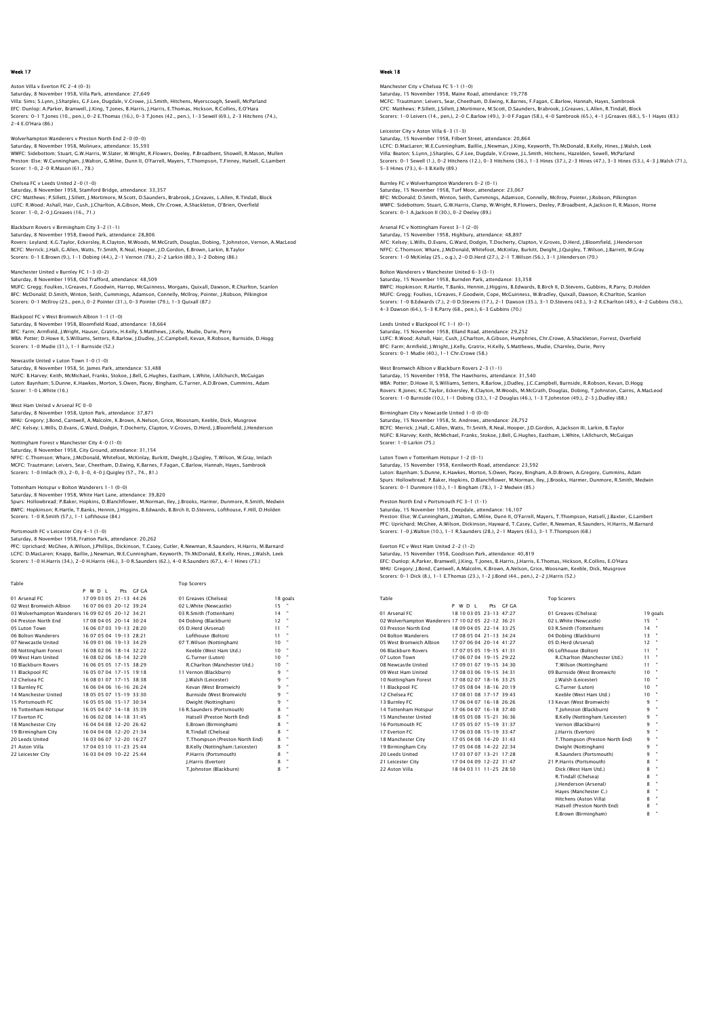Aston Villa v Everton FC 2-4 (0-3) Saturday, 8 November 1958, Villa Park, attendance: 27,649<br>Villa: Sims; S.Lynn, LSharples, G.F.Lee, Dugdale, V.Crowe, J.L.Smith, Hitchens, Myerscough, Sewell, McParland<br>EFC: Dunlop; A.Parker, Bramwell, J.King, T.Jones, B.Ha Scorers: 0-1 T.Jones (10., pen.), 0-2 E.Thomas (16.), 0-3 T.Jones (42., pen.), 1-3 Sewell (69.), 2-3 Hitchens (74.), 2-4 E.O'Hara (86.)

Wolverhampton Wanderers v Preston North End 2-0 (0-0) Saturday, 8 November 1958, Molinuex, attendance: 35,593 WWFC: Sidebottom; Stuart, G.W.Harris, W.Slater, W.Wright, R.Flowers, Deeley, P.Broadbent, Showell, R.Mason, Mullen<br>Preston: Else; W.Cunningham, J.Walton, G.Milne, Dunn II, O'Farrell, Mayers, T.Thompson, T.Finney, Hatsell, Scorer: 1-0, 2-0 R.Mason (61., 78.)

Chelsea FC v Leeds United 2-0 (1-0) Saturday, 8 November 1958, Stamford Bridge, attendance: 33,357 CFC: Matthews; P.Sillett, J.Sillett, J.Mortimore, M.Scott, D.Saunders, Brabrook, J.Greaves, L.Allen, R.Tindall, Block LUFC: R.Wood; Ashall, Hair, Cush, J.Charlton, A.Gibson, Meek, Chr.Crowe, A.Shackleton, O'Brien, Overfield Scorer: 1-0, 2-0 J.Greaves (16., 71.)

Blackburn Rovers v Birmingham City 3-2 (1-1) Saturday, 8 November 1958, Ewood Park, attendance: 28,806 Rovers: Leyland; K.G.Taylor, Eckersley, R.Clayton, M.Woods, M.McGrath, Douglas, Dobing, T.Johnston, Vernon, A.MacLeod<br>BCFC: Merrick; J.Hall, G.Allen, Watts, Tr.Smith, R.Neal, Hooper, J.D.Gordon, E.Brown, Larkin, B.Taylor<br>S

Manchester United v Burnley FC 1-3 (0-2)

Saturday, 8 November 1958, Old Trafford, attendance: 48,509<br>MUFC: Gregg; Foulkes, I.Greaves, F.Goodwin, Harrop, McGuinness, Morgans, Quixall, Dawson, R.Charlton, Scanlon<br>BFC: McDonald; D.Smith, Winton, Seith, Cummings, Ada

# Blackpool FC v West Bromwich Albion 1-1 (1-0)

Saturday, 8 November 1958, Bloomfield Road, attendance: 18,664<br>BFC: Farm; Armfield, J.Wright, Hauser, Gratrix, H.Kelly, S.Matthews, J.Kelly, Mudie, Durie, Perry<br>WBA: Potter; D.Howe II, S.Williams, Setters, R.Barlow, J.Dudl Scorers: 1-0 Mudie (31.), 1-1 Burnside (52.)

## Newcastle United v Luton Town 1-0 (1-0)

Saturday, 8 November 1958, St. James Park, attendance: 53,488<br>NUFC: B.Harvey; Keith, McMichael, Franks, Stokoe, J.Bell, G.Hughes, Eastham, L.White, I.Allchurch, McGuigan<br>Luton: Baynham; S.Dunne, K.Hawkes, Morton, S.Owen, P

## West Ham United v Arsenal FC 0-0

Saturday, 8 November 1958, Upton Park, attendance: 37,871<br>WHU: Gregory; J.Bond, Cantwell, A.Malcolm, K.Brown, A.Nelson, Grice, Woosnam, Keeble, Dick, Musgrove<br>AFC: Kelsey: L.Wills, D.Evans, G.Ward, Dodgin, T.Docherty, Clap

## Nottingham Forest v Manchester City 4-0 (1-0)

Saturday, 8 November 1958, City Ground, attendance: 31,154 NFFC: C.Thomson; Whare, J.McDonald, Whitefoot, McKinlay, Burkitt, Dwight, J.Quigley, T.Wilson, W.Gray, Imlach MCFC: Trautmann; Leivers, Sear, Cheetham, D.Ewing, K.Barnes, F.Fagan, C.Barlow, Hannah, Hayes, Sambrook Scorers: 1-0 Imlach (9.), 2-0, 3-0, 4-0 J.Quigley (57., 74., 81.)

Tottenham Hotspur v Bolton Wanderers 1–1 (0–0)<br>Saturday, 8 November 1958, White Hart Lane, attendance: 39,820<br>Spurs: Hollowbread; P. Baker, Hopkins, D.Blanchflower, M.Norman, Iley, J.Brooks, Harmer, Dunmore, R.Smith, Medwi Scorers:  $1-0$  R Smith (57.),  $1-1$  Lofthouse (84.)

### uth FC v Leicester City 4-1 (1-0)

Saturday, 8 November 1958, Fratton Park, attendance: 20,262 PFC: Uprichard; McGhee, A.Wilson, J.Phillips, Dickinson, T.Casey, Cutler, R.Newman, R.Saunders, H.Harris, M.Barnard LCFC: D.MacLaren; Knapp, Baillie, J.Newman, W.E.Cunningham, Keyworth, Th.McDonald, B.Kelly, Hines, J.Walsh, Leek Scorers: 1-0 H.Harris (34.), 2-0 H.Harris (46.), 3-0 R.Saunders (62.), 4-0 R.Saunders (67.), 4-1 Hines (73.)

| Table                                              |         |                         |           | <b>Top Scorers</b>             |    |                |
|----------------------------------------------------|---------|-------------------------|-----------|--------------------------------|----|----------------|
|                                                    | P W D I |                         | Pts GE GA |                                |    |                |
| 01 Arsenal FC                                      |         | 17 09 03 05 21-13 44:26 |           | 01 Greaves (Chelsea)           |    | 18 goals       |
| 02 West Bromwich Albion                            |         | 16 07 06 03 20-12 39:24 |           | 02 L.White (Newcastle)         | 15 |                |
| 03 Wolverhampton Wanderers 16 09 02 05 20-12 34:21 |         |                         |           | 03 R.Smith (Tottenham)         | 14 |                |
| 04 Preston North End                               |         | 17 08 04 05 20-14 30:24 |           | 04 Dobing (Blackburn)          | 12 |                |
| 05 Luton Town                                      |         | 16.06.07.03 19-13 28:20 |           | 05 D.Herd (Arsenal)            | 11 |                |
| 06 Bolton Wanderers                                |         | 16.07.05.04 19-13 28:21 |           | Lofthouse (Bolton)             | 11 |                |
| 07 Newcastle United                                |         | 16 09 01 06 19-13 34:29 |           | 07 T.Wilson (Nottingham)       | 10 |                |
| 08 Nottingham Forest                               |         | 16.08.02.06.18-14.32:22 |           | Keeble (West Ham Utd.)         | 10 | ×              |
| 09 West Ham United                                 |         | 16 08 02 06 18-14 32:29 |           | G.Turner (Luton)               | 10 |                |
| 10 Blackburn Rovers                                |         | 16.06.05.05.17-15.38:29 |           | R.Charlton (Manchester Utd.)   | 10 | ×              |
| 11 Blackpool FC                                    |         | 16 05 07 04 17-15 19:18 |           | 11 Vernon (Blackburn)          | 9  | $\blacksquare$ |
| 12 Chelsea EC                                      |         | 16 08 01 07 17-15 38:38 |           | I.Walsh (Leicester)            | 9  | ٠              |
| 13 Burnley FC                                      |         | 16.06.04.06 16-16 26:24 |           | Kevan (West Bromwich)          | 9  |                |
| 14 Manchester United                               |         | 18 05 05 07 15-19 33:30 |           | Burnside (West Bromwich)       | 9  | ٠              |
| 15 Portsmouth FC                                   |         | 16.05.05.06 15-17 30:34 |           | Dwight (Nottingham)            | 9  | $\blacksquare$ |
| 16 Tottenham Hotspur                               |         | 16 05 04 07 14-18 35:39 |           | 16 R.Saunders (Portsmouth)     | 8  |                |
| 17 Everton EC                                      |         | 16.06.02.08.14-18.31:45 |           | Hatsell (Preston North End)    | 8  |                |
| 18 Manchester City                                 |         | 16 04 04 08 12-20 26:42 |           | E.Brown (Birmingham)           | 8  | $\blacksquare$ |
| 19 Birmingham City                                 |         | 16 04 04 08 12-20 21:34 |           | R.Tindall (Chelsea)            | 8  |                |
| 20 Leeds United                                    |         | 16.03.06.07 12-20 16:27 |           | T.Thompson (Preston North End) | 8  | $\blacksquare$ |
| 21 Aston Villa                                     |         | 17 04 03 10 11-23 25:44 |           | B.Kelly (Nottingham/Leicester) | 8  | ٠              |
| 22 Leicester City                                  |         | 16 03 04 09 10-22 25:44 |           | P.Harris (Portsmouth)          | 8  | ٠              |
|                                                    |         |                         |           | I.Harris (Everton)             | 8  | $\blacksquare$ |
|                                                    |         |                         |           | T.Iohnston (Blackburn)         | 8  |                |

## Week 18

# Manchester City v Chelsea FC 5-1 (1-0) Saturday, 15 November 1958, Maine Road, attendance: 19,778<br>MCFC: Trautmann; Leivers, Sear, Cheetham, D.Ewing, K.Barnes, F.Fagan, C.Barlow, Hannah, Hayes, Sambrook<br>CFC: Matthews; P.Sillett, J.Sillett, J.Mortimore, M.Scott,

Leicester City v Aston Villa 6-3 (1-3) Saturday, 15 November 1958, Filbert Street, attendance: 20,864 LCFC: D.MacLaren; W.E.Cunningham, Baillie, J.Newman, J.King, Keyworth, Th.McDonald, B.Kelly, Hines, J.Walsh, Leek

Villa: Beaton; S.Lynn, J.Sharples, G.F.Lee, Dugdale, V.Crowe, J.L.Smith, Hitchens, Hazelden, Sewell, McParland Scorers: 0-1 Sewell (1.), 0-2 Hitchens (12.), 0-3 Hitchens (36.), 1-3 Hines (37.), 2-3 Hines (47.), 3-3 Hines (53.), 4-3 J.Walsh (71.), 5-3 Hines (73.), 6-3 B.Kelly (89.)

Burnley FC v Wolverhampton Wanderers 0-2 (0-1) Saturday, 15 November 1958, Turf Moor, attendance: 23,067<br>BFC: McDonald; D.Smith, Winton, Seith, Cummings, Adamson, Connelly, McIlroy, Pointer, J.Robson, Pilkington<br>WWFC: Sidebottom; Stuart, G.W.Harris, Clamp, W.Wright, R. Scorers: 0-1 A.Jackson II (30.), 0-2 Deeley (89.)

Arsenal FC v Nottingham Forest 3-1 (2-0) Saturday, 15 November 1958, Highbury, attendance: 48,897 AFC: Kelsey; L.Wills, D.Evans, G.Ward, Dodgin, T.Docherty, Clapton, V.Groves, D.Herd, J.Bloomfield, J.Henderson<br>NFFC: C.Thomson; Whare, J.McDonald, Whitefoot, McKinlay, Burkitt, Dwight, J.Quigley, T.Wilson, J.Barrett, W.Gr

# Bolton Wanderers v Manchester United 6-3 (3-1)

Saturday, 15 November 1958, Burnden Park, attendance: 33,358<br>BWFC: Hopkinson: R.Hartle, T.Banks, Hennin, J.Higgins, B.Edwards, B.Birch II, D.Stevens, Gubbins, R.Parry, D.Holden<br>MUFC: Gregg; Foulkes, I.Greaves, F.Goodwin, C

#### Leeds United v Blackpool FC 1-1 (0-1)

Saturday, 15 November 1958, Elland Road, attendance: 29,252<br>LUFC: R.Wood; Ashall, Hair, Cush, J.Charlton, A.Gibson, Humphries, Chr.Crowe, A.Shackleton, Forrest, Overfield<br>BFC: Farm: Armfield, J.Wright, J.Kelly, Gratrix, H. Scorers: 0-1 Mudie (40.), 1-1 Chr.Crowe (58.)

West Bromwich Albion v Blackburn Rovers 2–3 (1–1)<br>Saturday, 15 November 1958, The Hawthorns, attendance: 31,540<br>WBA: Potter; D.Howe II, S.Williams, Setters, R.Barlow, J.Dudley, J.C.Campbell, Burnside, R.Robson, Kevan, D.Ho Scorers: 1-0 Burnside (10.), 1-1 Dobing (33.), 1-2 Douglas (46.), 1-3 T.Johnston (49.), 2-3 J.Dudley (88.)

Birmingham City v Newcastle United 1–0 (0–0)<br>Saturday, 15 November 1958, St. Andrews, attendance: 28,752<br>BCFC: Merrick; J.Hall, G.Allen, Watts, Tr.Smith, R.Neal, Hooper, J.D.Gordon, A.Jackson III, Larkin, B.Taylor<br>BCFC: B. Scorer: 1-0 Larkin (75.)

## Luton Town v Tottenham Hotspur 1-2 (0-1)

Saturday, 15 November 1958, Kenilworth Road, attendance: 23,592 Luton: Baynham; S.Dunne, K.Hawkes, Morton, S.Owen, Pacey, Bingham, A.D.Brown, A.Gregory, Cummins, Adam Spurs: Hollowbread; P.Baker, Hopkins, D.Blanchflower, M.Norman, Iley, J.Brooks, Harmer, Dunmore, R.Smith, Medwin Scorers: 0-1 Dunmore (10.), 1-1 Bingham (78.), 1-2 Medwin (85.)

#### Preston North End v Portsmouth FC 3-1 (1-1)

Saturday, 15 November 1958, Deepdale, attendance: 16,107 Preston: Else; W.Cunningham, J.Walton, G.Milne, Dunn II, O'Farrell, Mayers, T.Thompson, Hatsell, J.Baxter, G.Lambert PFC: Uprichard; McGhee, A.Wilson, Dickinson, Hayward, T.Casey, Cutler, R.Newman, R.Saunders, H.Harris, M.Barnard Scorers: 1-0 J.Walton (10.), 1-1 R.Saunders (28.), 2-1 Mayers (63.), 3-1 T.Thompson (68.)

#### Everton FC v West Ham United 2-2 (1-2) Saturday, 15 November 1958, Goodison Park, attendance: 40,819

EFC: Dunlop; A.Parker, Bramwell, J.King, T.Jones, B.Harris, J.Harris, E.Thomas, Hickson, R.Collins, E.O'Hara<br>WHU: Gregory, J.Bond, Cantwell, A.Malcolm, K.Brown, A.Nelson, Grice, Woosnam, Keeble, Dick, Musgrove<br>Scorers: 0–1

#### Table Top Scorers

|                                                    | P. | WD I | Pts                       | GE GA |                                |           |          |
|----------------------------------------------------|----|------|---------------------------|-------|--------------------------------|-----------|----------|
| 01 Arsenal FC                                      |    |      | 18 10 03 05 23-13 47:27   |       | 01 Greaves (Chelsea)           |           | 19 goals |
| 02 Wolverhampton Wanderers 17 10 02 05 22-12 36:21 |    |      |                           |       | 02 L.White (Newcastle)         | 15        |          |
| 03 Preston North End                               |    |      | 18 09 04 05 22-14 33:25   |       | 03 R.Smith (Tottenham)         | 14        | ۰        |
| 04 Bolton Wanderers                                |    |      | 17 08 05 04 21-13 34:24   |       | 04 Dobing (Blackburn)          | 13        |          |
| 05 West Bromwich Albion                            |    |      | 17 07 06 04 20-14 41:27   |       | 05 D.Herd (Arsenal)            | $12^{12}$ | ۰        |
| 06 Blackburn Rovers                                |    |      | 17 07 05 05 19-15 41:31   |       | 06 Lofthouse (Bolton)          | 11        |          |
| 07 Luton Town                                      |    |      | 17 06 07 04 19-15 29:22   |       | R.Charlton (Manchester Utd.)   | 11        |          |
| 08 Newcastle United                                |    |      | 17 09 01 07 19-15 34:30   |       | T.Wilson (Nottingham)          | 11        | ×        |
| 09 West Ham United                                 |    |      | 17 08 03 06 19-15 34:31   |       | 09 Burnside (West Bromwich)    | 10        |          |
| 10 Nottingham Forest                               |    |      | 17 08 02 07 18-16 33:25   |       | I.Walsh (Leicester)            | 10        |          |
| 11 Blackpool FC                                    |    |      | 17 05 08 04 18-16 20:19   |       | G.Turner (Luton)               | 10        | ۰        |
| 12 Chelsea EC                                      |    |      | 17 08 01 08 17-17 39:43   |       | Keeble (West Ham Utd.)         | 10        |          |
| 13 Burnley FC                                      |    |      | 17 06 04 07 16-18 26:26   |       | 13 Kevan (West Bromwich)       | 9         | ٠        |
| 14 Tottenham Hotspur                               |    |      | 17 06 04 07 16-18 37:40   |       | T.Johnston (Blackburn)         | 9         | ۰        |
| 15 Manchester United                               |    |      | 18.05.05.08 15-21 36:36   |       | B.Kelly (Nottingham/Leicester) | 9         |          |
| 16 Portsmouth EC                                   |    |      | 17 05 05 07 15-19 31:37   |       | Vernon (Blackburn)             | 9         | ۰        |
| 17 Everton EC                                      |    |      | 17 06 03 08 15-19 33:47   |       | J.Harris (Everton)             | 9         | ٠        |
| 18 Manchester City                                 |    |      | 17 05 04 08 14-20 31:43   |       | T.Thompson (Preston North End) | 9         |          |
| 19 Birmingham City                                 |    |      | 17 05 04 08 14-22 22:34   |       | Dwight (Nottingham)            | 9         | ۰        |
| 20 Leeds United                                    |    |      | 17 03 07 07 13-21 17:28   |       | R.Saunders (Portsmouth)        | 9         | ۰        |
| 21 Leicester City                                  |    |      | 17 04 04 09 12-22 31:47   |       | 21 P.Harris (Portsmouth)       | 8         |          |
| 22 Aston Villa                                     |    |      | 18 04 03 11 11 - 25 28:50 |       | Dick (West Ham Utd.)           | 8         |          |
|                                                    |    |      |                           |       |                                |           |          |

| 01 Greaves (Chelsea)           | 19 go: |   |
|--------------------------------|--------|---|
| 02 L.White (Newcastle)         | 15     |   |
| 03 R.Smith (Tottenham)         | 14     | ٠ |
| 04 Dobing (Blackburn)          | 13     | ٠ |
| 05 D.Herd (Arsenal)            | 12     | ٠ |
| 06 Lofthouse (Bolton)          | 11     | ٠ |
| R.Charlton (Manchester Utd.)   | 11     | ٠ |
| T.Wilson (Nottingham)          | 11     | × |
| 09 Burnside (West Bromwich)    | 10     | ٠ |
| I.Walsh (Leicester)            | 10     | ٠ |
| G.Turner (Luton)               | 10     | ٠ |
| Keeble (West Ham Utd.)         | 10     | ٠ |
| 13 Kevan (West Bromwich)       | 9      | ٠ |
| T.Johnston (Blackburn)         | ٩      | ٠ |
| B.Kelly (Nottingham/Leicester) | ٩      | ٠ |
| Vernon (Blackburn)             | ٩      | ٠ |
| I.Harris (Everton)             | 9      | ٠ |
| T.Thompson (Preston North End) | ٩      | ٠ |
| Dwight (Nottingham)            | 9      |   |
| R.Saunders (Portsmouth)        | 9      | ٠ |
| 21 P.Harris (Portsmouth)       | 8      | ٠ |
| Dick (West Ham Utd.)           | 8      | ٠ |
| R.Tindall (Chelsea)            | 8      | ٠ |
| <b>I.Henderson (Arsenal)</b>   | 8      | ٠ |
| Haves (Manchester C.)          | 8      | × |
| Hitchens (Aston Villa)         | 8      |   |
| Hatsell (Preston North End)    | 8      | ٠ |
| E.Brown (Birmingham)           | 8      | ٠ |